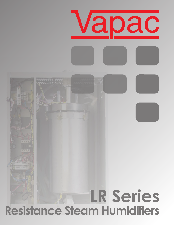

## **Resistance Steam Humidifiers**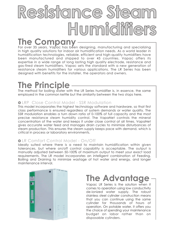# **Resistance Steam Humidifiers**

**The Company**<br>For over 35 years, Vapac has been designing, manufacturing and specializing in high quality solutions for indoor air humidification needs. As a world leader in humidification technologies, reliable, efficient and high-quality humidifiers have been manufactured and shipped to over 45 countries. Vapac offers its expertise in a wide range of long lasting high quality electrode, resistance and gas-fired steam humidifiers. Vapac sets the standard with a new generation of resistance steam humidifiers for various applications. The LR Series has been designed with benefits for the installer, the operators and owners.

## **The Principle**

The method for boiling water with the LR Series humidifier is, in essence, the same employed in the common kettle but the similarity between the two stops here.

#### **OLRP** Close Control Model - SSR Modulation

This model incorporates the highest technology software and hardware, so that first class performance is ensured regardless of system demands or water quality. The SSR modulation enables a turn down ratio of 0-100% of full capacity and the most precise resistance steam humidity control. The VapaNet controls the mineral concentration of the water and keeps it under close control at all times. VapaNet gives accurate water feed and manages drain cycles to minimize disturbances of steam production. This ensures the steam supply keeps pace with demand, which is critical in process or laboratory environments.

#### LR Comfort Control Model - On/Off

Ideally suited where there is a need to maintain humidification within given tolerances, but where on/off control capability is acceptable. The output is manually adjusted between 50-100% of maximum output to meet your exact load requirements. The LR model incorporates an intelligent combination of Feeding, Boiling and Draining to minimize wastage of hot water and energy, and longer maintenance interval.



### **The Advantage**

Vapac LR Series is the solution when it comes to operation using low conductivity de-ionized water supply. The robust stainless steel cylinder construction means that you can continue using the same cylinder for thousands of hours of operation. On potable water, it offers you the choice of spending your maintenance budget on labor rather than on disposable cylinders.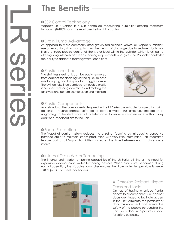### **The Benefits**

#### **OSSR Control Technology**

Vapac's LR-P Version is a SSR controlled modulating humidifier offering maximum turndown (8-100%) and the most precise humidity control.

#### Drain Pump Advantage

As opposed to more commonly used gravity fed solenoid valves, all Vapac humidifiers use a heavy duty drain pump to minimize the risk of blockage due to sediment build up. It also ensures precise control of the water level within the cylinder which is critical to offering long intervals between cleaning requirements and gives the VapaNet controller the ability to adapt to foaming water conditions.

#### **OPlastic Inner Liner**

The stainless steel tank can be easily removed from cabinet for cleaning via the quick release electrical plug and the quick tank toggle clamps. The cylinder also incorporates a removable plastic inner liner, reducing downtime and making the tank walls and bottom easy to clean and maintain.



#### **OPlastic Components**

As a standard, the components designed in the LR Series are suitable for operation using de-ionised, reverse osmosis, softened or potable water. This gives you the option of upgrading to treated water at a later date to reduce maintenance without any additional modifications to the unit.

#### Foam Protection

The VapaNet control system reduces the onset of foaming by introducing corrective pumped drain to maintain steam production with very little interruption. This integrated feature part of all Vapac humidifiers increases the time between each maintenance interval.

#### **O**Internal Drain Water Tempering

The internal drain water tempering capabilities of the LR Series eliminates the need for expensive external drain water tempering devices. When drains are performed during normal operation, the VapaNet controller ensures the drain water temperature is below 140  $\circ$ F (60  $\circ$ C) to meet local codes.



#### **O** Corrosion Resistant Hinged Doors and Locks

On top of having a unique frontal access to all components, all cabinet doors are hinged to facilitate access in the unit, eliminate the possibility of door misplacement and ensure the safety of the people surrounding the unit. Each door incorporates 2 locks for safety purposes.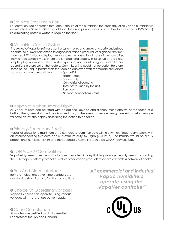#### **OStainless Steel Drain Pan**

For corrosion free operation throughout the life of the humidifier, the drain tray of all Vapac humidifiers is constructed of Stainless Steel. In addition, the drain pan includes an overflow to drain and a 1"(24.5mm) lip eliminating possible water spillage on the floor.

#### VapaNet Control System

The exclusive VapaNet software control system, ensures a simple and easily understood operator-to-humidifier interface throughout all Vapac products. At a glance, the front mounted LED indicator display clearly shows the operational state of the humidifier. Easy to read symbols make interpretation clear and precise. Initial set up on site is also simple; plug in jumpers, select water type and input control signal, and all other operations are pre-set at the factory. Commissioning could not be easier. Here are some of the unique parameters that can be displayed with the Vapac humidifiers optional alphanumeric display: - Space RH

- Space Temp
- System output
- Control signal demand
- Total power used by the unit
- Run hours
- Network connections status

#### VapaNet Alphanumeric Display

All VapaNet units can be fitted with an optional keypad and alphanumeric display. At the touch of a button, the system status will be displayed and, in the event of service being needed, a help message will scroll across the display describing the action to be taken.

#### **O** Primary/Secondary Facility

VapaNet allows for a maximum of 10 cylinders to communicate within a Primary/Secondary system with an interconnecting two-core cable. Maximum duty 450 kg/h (990 lbs/h). The Primary would be a fully proportional humidifier (LR-P) and the secondary humidifier would be On/Off devices (LR).

#### **OLON Works™ Compatible**

VapaNet systems have the ability to communicate with any Building Management System incorporating the LON™ open system protocol as well as other Vapac products to create a seamless network of control.

#### **ORUN And Alarm Interface**

Remote indications as volt-free contacts are standard to show Run and/or Alarm conditions.

#### **O** Choice Of Operating Voltages

Vapac LR Series can operate using various voltages with 1 or 3 phase power supply.

#### **O** Code Compliance

All models are certified by UL Underwriter Laboratories for USA and Canada.

#### *"All commercial and industrial Vapac humidifiers operate using the VapaNet controller"*



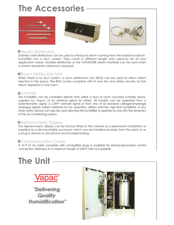### **The Accessories**



#### **OSteam Distributors**

Stainless steel distributors can be used to introduce steam coming from the resistance steam humidifier into a duct system. They come in different length and capacity for all your application needs. Multiple distributors or the VAPASORB steam manifold can be used when a shorter absorption distance is required.

#### **ORoom Distribution Unit**

When there is no duct system, a room distribution unit (RDU) can be used for direct steam injection in the space. The RDU comes complete with its own fan and safety circuitry for fast steam dispersion in the room.

#### **o**Controls

The humidifier can be controlled directly from either a duct or room mounted humidity sensor, supplied by Vapac or an external signal by others. All models can be operated from a potentiometric signal, a LON<sup>TM</sup> network signal or from any of six standard voltage/amperage analogue signals. Safety interlocks for fan operation, airflow switches, high limit humidistat, or any other safety device can also be used allowing the humidifier to operate as one with the dynamics of the air conditioning system.

#### **OAlphanumeric Display**

The alphanumeric display can be factory fitted to the cabinet as a permanent installation or supplied as a de-mountable accessory which can be installed remotely from the plant or as a plug-in device to aid service and troubleshooting.

#### **OCommunication Cable**

A 10 ft (3 m) cable complete with compatible plugs is available for primary/secondary control connection. Extension to a maximum length of 328 ft (100 m) is possible.

### **The Unit**



*"Delivering Quality Humidification"*